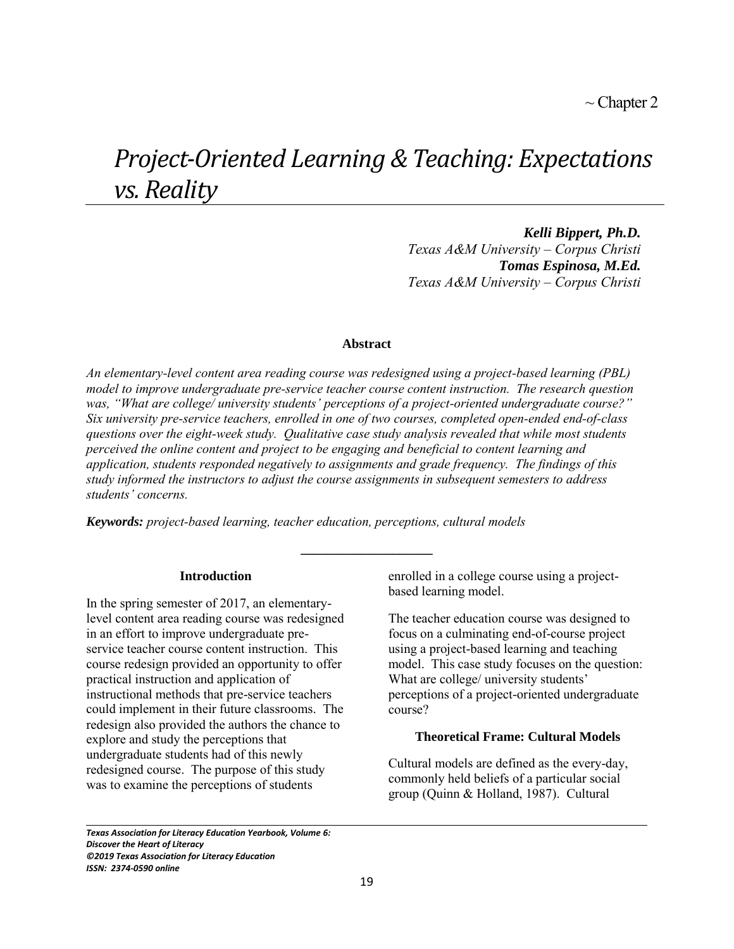# *Project-Oriented Learning & Teaching: Expectations vs. Reality*

*Kelli Bippert, Ph.D. Texas A&M University – Corpus Christi Tomas Espinosa, M.Ed. Texas A&M University – Corpus Christi* 

# **Abstract**

*An elementary-level content area reading course was redesigned using a project-based learning (PBL) model to improve undergraduate pre-service teacher course content instruction. The research question was, "What are college/ university students' perceptions of a project-oriented undergraduate course?" Six university pre-service teachers, enrolled in one of two courses, completed open-ended end-of-class questions over the eight-week study. Qualitative case study analysis revealed that while most students perceived the online content and project to be engaging and beneficial to content learning and application, students responded negatively to assignments and grade frequency. The findings of this study informed the instructors to adjust the course assignments in subsequent semesters to address students' concerns.* 

**\_\_\_\_\_\_\_\_\_\_\_\_\_\_\_\_\_\_\_\_**

*Keywords: project-based learning, teacher education, perceptions, cultural models*

#### **Introduction**

In the spring semester of 2017, an elementarylevel content area reading course was redesigned in an effort to improve undergraduate preservice teacher course content instruction. This course redesign provided an opportunity to offer practical instruction and application of instructional methods that pre-service teachers could implement in their future classrooms. The redesign also provided the authors the chance to explore and study the perceptions that undergraduate students had of this newly redesigned course. The purpose of this study was to examine the perceptions of students

enrolled in a college course using a projectbased learning model.

The teacher education course was designed to focus on a culminating end-of-course project using a project-based learning and teaching model. This case study focuses on the question: What are college/ university students' perceptions of a project-oriented undergraduate course?

## **Theoretical Frame: Cultural Models**

Cultural models are defined as the every-day, commonly held beliefs of a particular social group (Quinn & Holland, 1987). Cultural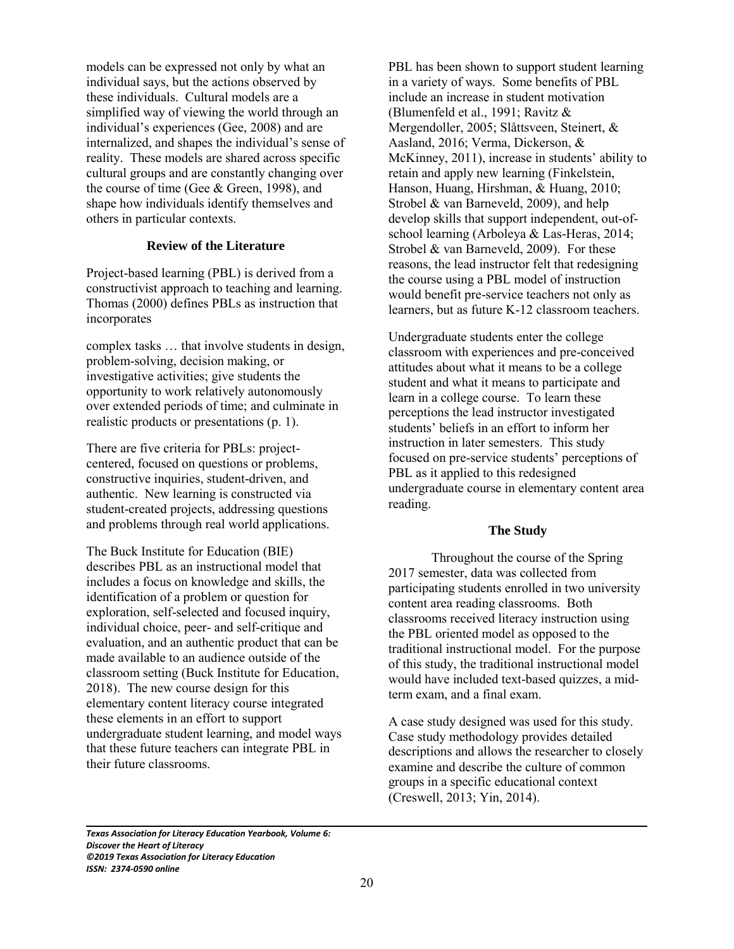models can be expressed not only by what an individual says, but the actions observed by these individuals. Cultural models are a simplified way of viewing the world through an individual's experiences (Gee, 2008) and are internalized, and shapes the individual's sense of reality. These models are shared across specific cultural groups and are constantly changing over the course of time (Gee & Green, 1998), and shape how individuals identify themselves and others in particular contexts.

# **Review of the Literature**

Project-based learning (PBL) is derived from a constructivist approach to teaching and learning. Thomas (2000) defines PBLs as instruction that incorporates

complex tasks … that involve students in design, problem-solving, decision making, or investigative activities; give students the opportunity to work relatively autonomously over extended periods of time; and culminate in realistic products or presentations (p. 1).

There are five criteria for PBLs: projectcentered, focused on questions or problems, constructive inquiries, student-driven, and authentic. New learning is constructed via student-created projects, addressing questions and problems through real world applications.

The Buck Institute for Education (BIE) describes PBL as an instructional model that includes a focus on knowledge and skills, the identification of a problem or question for exploration, self-selected and focused inquiry, individual choice, peer- and self-critique and evaluation, and an authentic product that can be made available to an audience outside of the classroom setting (Buck Institute for Education, 2018). The new course design for this elementary content literacy course integrated these elements in an effort to support undergraduate student learning, and model ways that these future teachers can integrate PBL in their future classrooms.

PBL has been shown to support student learning in a variety of ways. Some benefits of PBL include an increase in student motivation (Blumenfeld et al., 1991; Ravitz & Mergendoller, 2005; Slåttsveen, Steinert, & Aasland, 2016; Verma, Dickerson, & McKinney, 2011), increase in students' ability to retain and apply new learning (Finkelstein, Hanson, Huang, Hirshman, & Huang, 2010; Strobel & van Barneveld, 2009), and help develop skills that support independent, out-ofschool learning (Arboleya & Las-Heras, 2014; Strobel & van Barneveld, 2009). For these reasons, the lead instructor felt that redesigning the course using a PBL model of instruction would benefit pre-service teachers not only as learners, but as future K-12 classroom teachers.

Undergraduate students enter the college classroom with experiences and pre-conceived attitudes about what it means to be a college student and what it means to participate and learn in a college course. To learn these perceptions the lead instructor investigated students' beliefs in an effort to inform her instruction in later semesters. This study focused on pre-service students' perceptions of PBL as it applied to this redesigned undergraduate course in elementary content area reading.

# **The Study**

Throughout the course of the Spring 2017 semester, data was collected from participating students enrolled in two university content area reading classrooms. Both classrooms received literacy instruction using the PBL oriented model as opposed to the traditional instructional model. For the purpose of this study, the traditional instructional model would have included text-based quizzes, a midterm exam, and a final exam.

A case study designed was used for this study. Case study methodology provides detailed descriptions and allows the researcher to closely examine and describe the culture of common groups in a specific educational context (Creswell, 2013; Yin, 2014).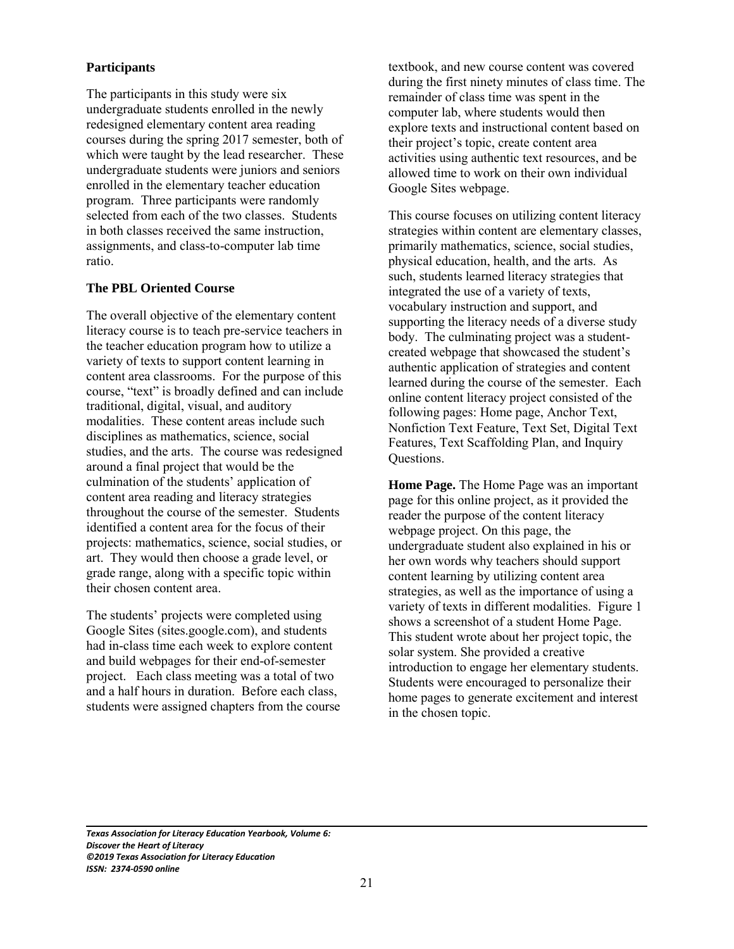# **Participants**

The participants in this study were six undergraduate students enrolled in the newly redesigned elementary content area reading courses during the spring 2017 semester, both of which were taught by the lead researcher. These undergraduate students were juniors and seniors enrolled in the elementary teacher education program. Three participants were randomly selected from each of the two classes. Students in both classes received the same instruction, assignments, and class-to-computer lab time ratio.

## **The PBL Oriented Course**

The overall objective of the elementary content literacy course is to teach pre-service teachers in the teacher education program how to utilize a variety of texts to support content learning in content area classrooms. For the purpose of this course, "text" is broadly defined and can include traditional, digital, visual, and auditory modalities. These content areas include such disciplines as mathematics, science, social studies, and the arts. The course was redesigned around a final project that would be the culmination of the students' application of content area reading and literacy strategies throughout the course of the semester. Students identified a content area for the focus of their projects: mathematics, science, social studies, or art. They would then choose a grade level, or grade range, along with a specific topic within their chosen content area.

The students' projects were completed using Google Sites (sites.google.com), and students had in-class time each week to explore content and build webpages for their end-of-semester project. Each class meeting was a total of two and a half hours in duration. Before each class, students were assigned chapters from the course textbook, and new course content was covered during the first ninety minutes of class time. The remainder of class time was spent in the computer lab, where students would then explore texts and instructional content based on their project's topic, create content area activities using authentic text resources, and be allowed time to work on their own individual Google Sites webpage.

This course focuses on utilizing content literacy strategies within content are elementary classes, primarily mathematics, science, social studies, physical education, health, and the arts. As such, students learned literacy strategies that integrated the use of a variety of texts, vocabulary instruction and support, and supporting the literacy needs of a diverse study body. The culminating project was a studentcreated webpage that showcased the student's authentic application of strategies and content learned during the course of the semester. Each online content literacy project consisted of the following pages: Home page, Anchor Text, Nonfiction Text Feature, Text Set, Digital Text Features, Text Scaffolding Plan, and Inquiry Questions.

**Home Page.** The Home Page was an important page for this online project, as it provided the reader the purpose of the content literacy webpage project. On this page, the undergraduate student also explained in his or her own words why teachers should support content learning by utilizing content area strategies, as well as the importance of using a variety of texts in different modalities. Figure 1 shows a screenshot of a student Home Page. This student wrote about her project topic, the solar system. She provided a creative introduction to engage her elementary students. Students were encouraged to personalize their home pages to generate excitement and interest in the chosen topic.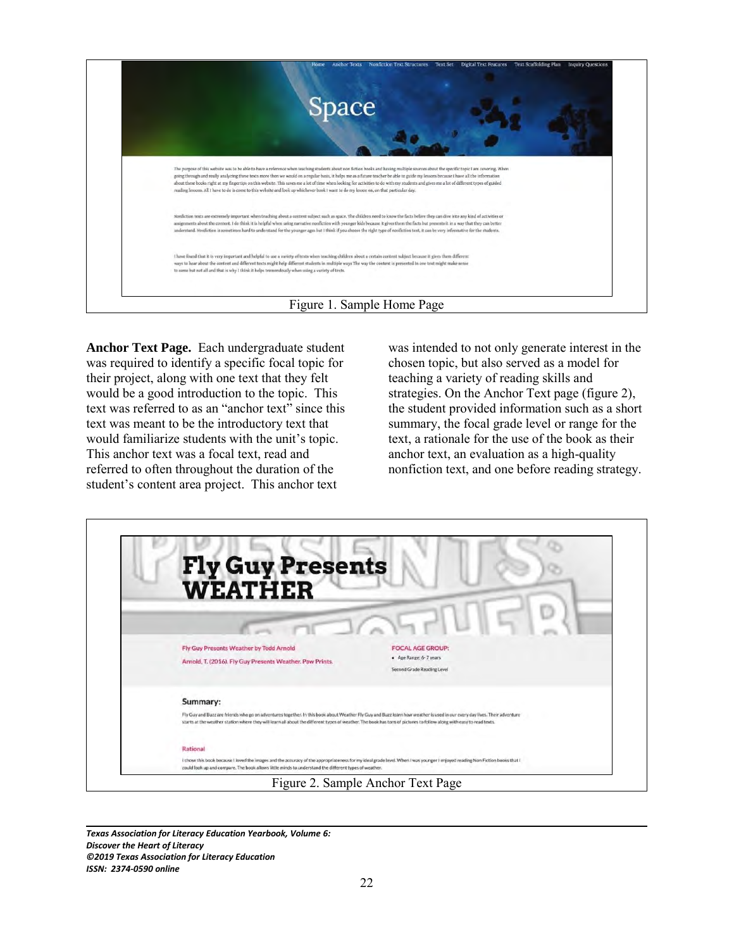

**Anchor Text Page.** Each undergraduate student was required to identify a specific focal topic for their project, along with one text that they felt would be a good introduction to the topic. This text was referred to as an "anchor text" since this text was meant to be the introductory text that would familiarize students with the unit's topic. This anchor text was a focal text, read and referred to often throughout the duration of the student's content area project. This anchor text

was intended to not only generate interest in the chosen topic, but also served as a model for teaching a variety of reading skills and strategies. On the Anchor Text page (figure 2), the student provided information such as a short summary, the focal grade level or range for the text, a rationale for the use of the book as their anchor text, an evaluation as a high-quality nonfiction text, and one before reading strategy.

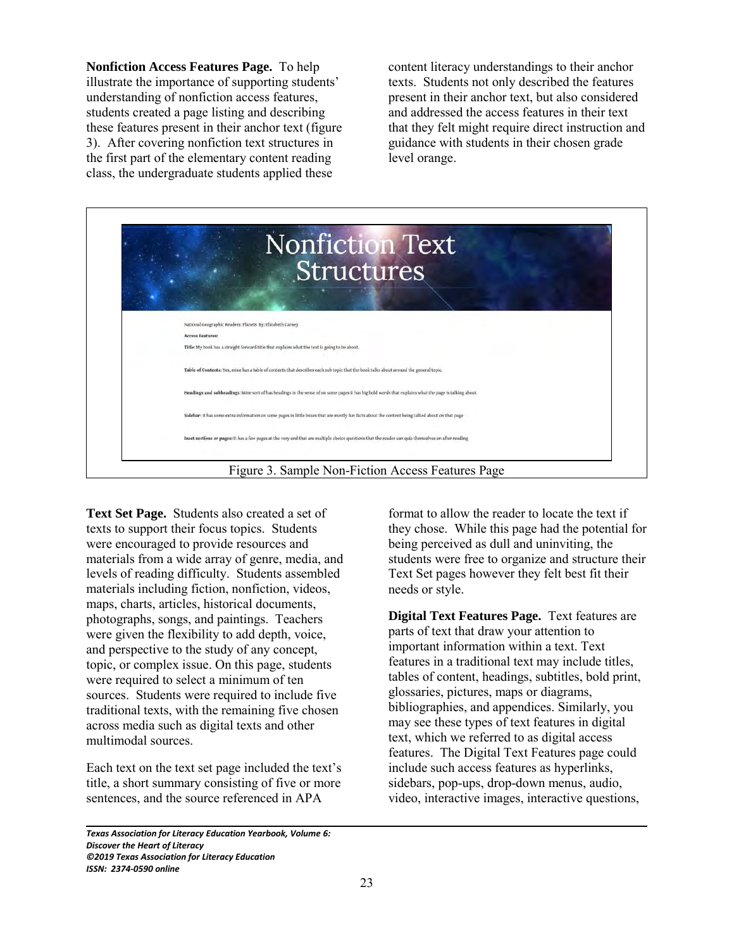**Nonfiction Access Features Page.** To help illustrate the importance of supporting students' understanding of nonfiction access features, students created a page listing and describing these features present in their anchor text (figure 3). After covering nonfiction text structures in the first part of the elementary content reading class, the undergraduate students applied these

content literacy understandings to their anchor texts. Students not only described the features present in their anchor text, but also considered and addressed the access features in their text that they felt might require direct instruction and guidance with students in their chosen grade level orange.

| <b>Nonfiction Text</b><br><b>Structures</b>                                                                                                           |
|-------------------------------------------------------------------------------------------------------------------------------------------------------|
|                                                                                                                                                       |
| National Geographic Readers: Planets By: Elizabeth Carney                                                                                             |
| <b>Access Features:</b>                                                                                                                               |
| Title: My book has a straight forward title that explains what the text is going to be about.                                                         |
| Table of Contents: Yes, mine has a table of contents that describes each sub topic that the book talks about around the general topic.                |
| Headings and subheadings: Mine sort of has headings in the sense of on some pages it has big bold words that explains what the page is talking about. |
| Sidebar: It has some extra information on some pages in little boxes that are mostly fun facts about the content being talked about on that page      |
| Inset sections or pages: It has a few pages at the very end that are multiple choice questions that the reader can quiz themselves on after reading   |

**Text Set Page.** Students also created a set of texts to support their focus topics. Students were encouraged to provide resources and materials from a wide array of genre, media, and levels of reading difficulty. Students assembled materials including fiction, nonfiction, videos, maps, charts, articles, historical documents, photographs, songs, and paintings. Teachers were given the flexibility to add depth, voice, and perspective to the study of any concept, topic, or complex issue. On this page, students were required to select a minimum of ten sources. Students were required to include five traditional texts, with the remaining five chosen across media such as digital texts and other multimodal sources.

Each text on the text set page included the text's title, a short summary consisting of five or more sentences, and the source referenced in APA

*Texas Association for Literacy Education Yearbook, Volume 6: Discover the Heart of Literacy ©2019 Texas Association for Literacy Education ISSN: 2374-0590 online*

format to allow the reader to locate the text if they chose. While this page had the potential for being perceived as dull and uninviting, the students were free to organize and structure their Text Set pages however they felt best fit their needs or style.

**Digital Text Features Page.** Text features are parts of text that draw your attention to important information within a text. Text features in a traditional text may include titles, tables of content, headings, subtitles, bold print, glossaries, pictures, maps or diagrams, bibliographies, and appendices. Similarly, you may see these types of text features in digital text, which we referred to as digital access features. The Digital Text Features page could include such access features as hyperlinks, sidebars, pop-ups, drop-down menus, audio, video, interactive images, interactive questions,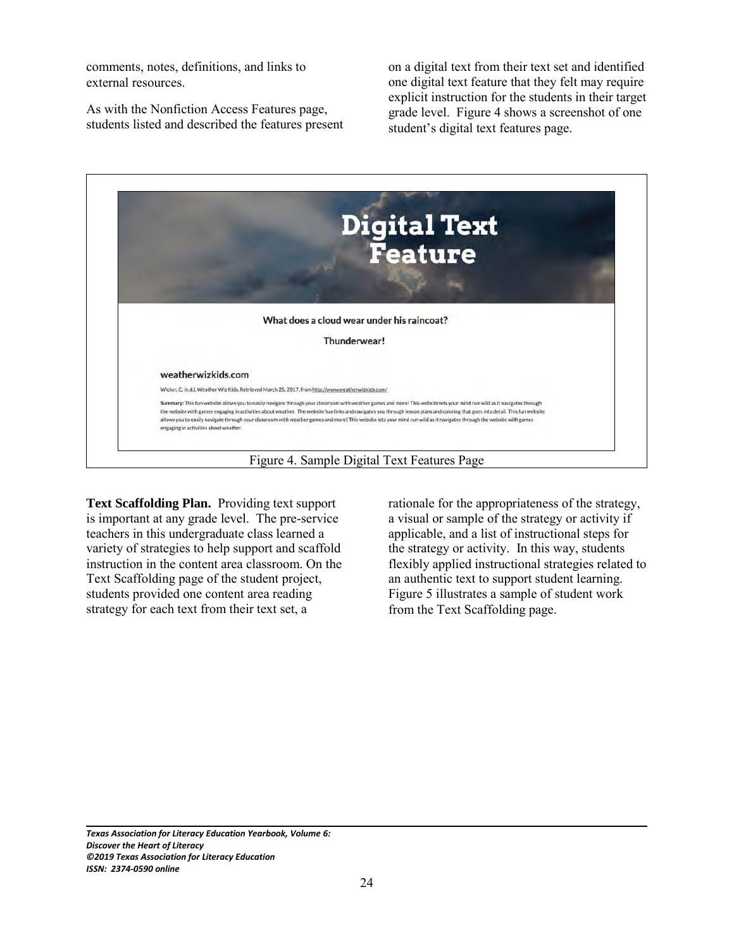comments, notes, definitions, and links to external resources.

As with the Nonfiction Access Features page, students listed and described the features present on a digital text from their text set and identified one digital text feature that they felt may require explicit instruction for the students in their target grade level. Figure 4 shows a screenshot of one student's digital text features page.



**Text Scaffolding Plan.** Providing text support is important at any grade level. The pre-service teachers in this undergraduate class learned a variety of strategies to help support and scaffold instruction in the content area classroom. On the Text Scaffolding page of the student project, students provided one content area reading strategy for each text from their text set, a

rationale for the appropriateness of the strategy, a visual or sample of the strategy or activity if applicable, and a list of instructional steps for the strategy or activity. In this way, students flexibly applied instructional strategies related to an authentic text to support student learning. Figure 5 illustrates a sample of student work from the Text Scaffolding page.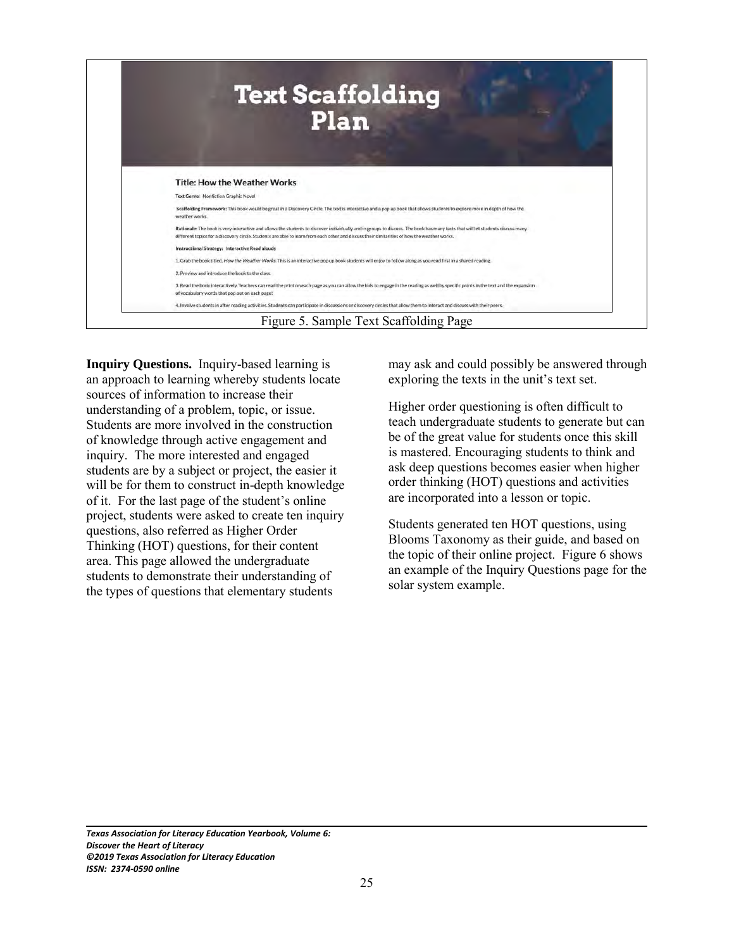

**Inquiry Questions.** Inquiry-based learning is an approach to learning whereby students locate sources of information to increase their understanding of a problem, topic, or issue. Students are more involved in the construction of knowledge through active engagement and inquiry. The more interested and engaged students are by a subject or project, the easier it will be for them to construct in-depth knowledge of it. For the last page of the student's online project, students were asked to create ten inquiry questions, also referred as Higher Order Thinking (HOT) questions, for their content area. This page allowed the undergraduate students to demonstrate their understanding of the types of questions that elementary students

may ask and could possibly be answered through exploring the texts in the unit's text set.

Higher order questioning is often difficult to teach undergraduate students to generate but can be of the great value for students once this skill is mastered. Encouraging students to think and ask deep questions becomes easier when higher order thinking (HOT) questions and activities are incorporated into a lesson or topic.

Students generated ten HOT questions, using Blooms Taxonomy as their guide, and based on the topic of their online project. Figure 6 shows an example of the Inquiry Questions page for the solar system example.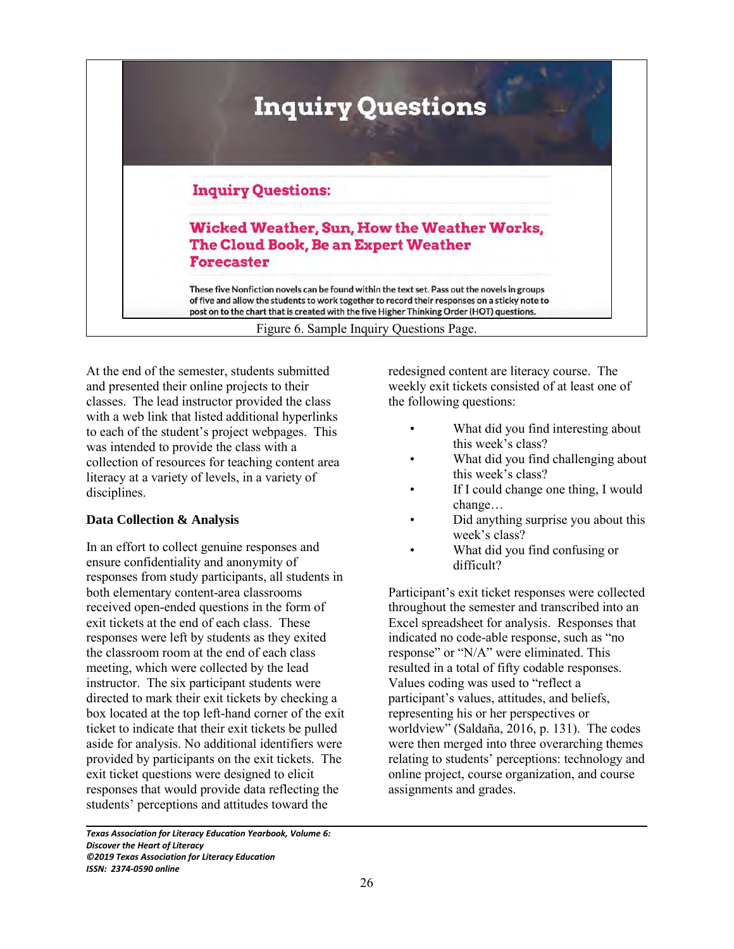

At the end of the semester, students submitted and presented their online projects to their classes. The lead instructor provided the class with a web link that listed additional hyperlinks to each of the student's project webpages. This was intended to provide the class with a collection of resources for teaching content area literacy at a variety of levels, in a variety of disciplines.

# **Data Collection & Analysis**

In an effort to collect genuine responses and ensure confidentiality and anonymity of responses from study participants, all students in both elementary content-area classrooms received open-ended questions in the form of exit tickets at the end of each class. These responses were left by students as they exited the classroom room at the end of each class meeting, which were collected by the lead instructor. The six participant students were directed to mark their exit tickets by checking a box located at the top left-hand corner of the exit ticket to indicate that their exit tickets be pulled aside for analysis. No additional identifiers were provided by participants on the exit tickets. The exit ticket questions were designed to elicit responses that would provide data reflecting the students' perceptions and attitudes toward the

redesigned content are literacy course. The weekly exit tickets consisted of at least one of the following questions:

- What did you find interesting about this week's class?
- What did you find challenging about this week's class?
- If I could change one thing, I would change…
- Did anything surprise you about this week's class?
- What did you find confusing or difficult?

Participant's exit ticket responses were collected throughout the semester and transcribed into an Excel spreadsheet for analysis. Responses that indicated no code-able response, such as "no response" or "N/A" were eliminated. This resulted in a total of fifty codable responses. Values coding was used to "reflect a participant's values, attitudes, and beliefs, representing his or her perspectives or worldview" (Saldaña, 2016, p. 131). The codes were then merged into three overarching themes relating to students' perceptions: technology and online project, course organization, and course assignments and grades.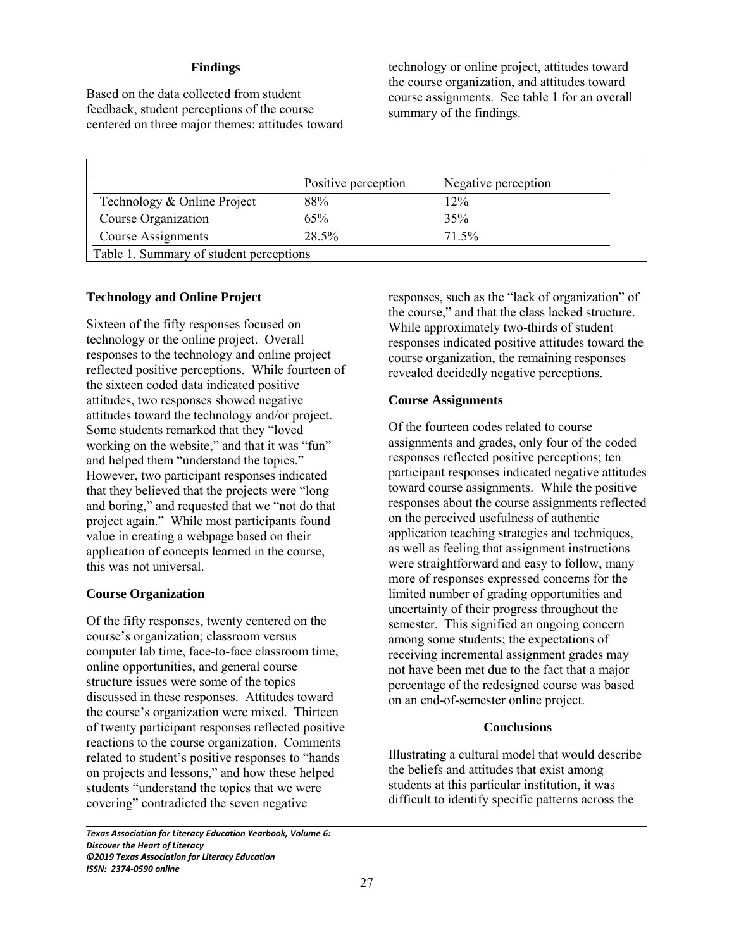## **Findings**

Based on the data collected from student feedback, student perceptions of the course centered on three major themes: attitudes toward technology or online project, attitudes toward the course organization, and attitudes toward course assignments. See table 1 for an overall summary of the findings.

|                             | Positive perception | Negative perception |
|-----------------------------|---------------------|---------------------|
| Technology & Online Project | 88%                 | 12%                 |
| Course Organization         | 65%                 | 35%                 |
| Course Assignments          | 28.5%               | 71.5%               |

## **Technology and Online Project**

Sixteen of the fifty responses focused on technology or the online project. Overall responses to the technology and online project reflected positive perceptions. While fourteen of the sixteen coded data indicated positive attitudes, two responses showed negative attitudes toward the technology and/or project. Some students remarked that they "loved working on the website," and that it was "fun" and helped them "understand the topics." However, two participant responses indicated that they believed that the projects were "long and boring," and requested that we "not do that project again." While most participants found value in creating a webpage based on their application of concepts learned in the course, this was not universal.

## **Course Organization**

Of the fifty responses, twenty centered on the course's organization; classroom versus computer lab time, face-to-face classroom time, online opportunities, and general course structure issues were some of the topics discussed in these responses. Attitudes toward the course's organization were mixed. Thirteen of twenty participant responses reflected positive reactions to the course organization. Comments related to student's positive responses to "hands on projects and lessons," and how these helped students "understand the topics that we were covering" contradicted the seven negative

*Texas Association for Literacy Education Yearbook, Volume 6: Discover the Heart of Literacy ©2019 Texas Association for Literacy Education ISSN: 2374-0590 online*

responses, such as the "lack of organization" of the course," and that the class lacked structure. While approximately two-thirds of student responses indicated positive attitudes toward the course organization, the remaining responses revealed decidedly negative perceptions.

## **Course Assignments**

Of the fourteen codes related to course assignments and grades, only four of the coded responses reflected positive perceptions; ten participant responses indicated negative attitudes toward course assignments. While the positive responses about the course assignments reflected on the perceived usefulness of authentic application teaching strategies and techniques, as well as feeling that assignment instructions were straightforward and easy to follow, many more of responses expressed concerns for the limited number of grading opportunities and uncertainty of their progress throughout the semester. This signified an ongoing concern among some students; the expectations of receiving incremental assignment grades may not have been met due to the fact that a major percentage of the redesigned course was based on an end-of-semester online project.

### **Conclusions**

Illustrating a cultural model that would describe the beliefs and attitudes that exist among students at this particular institution, it was difficult to identify specific patterns across the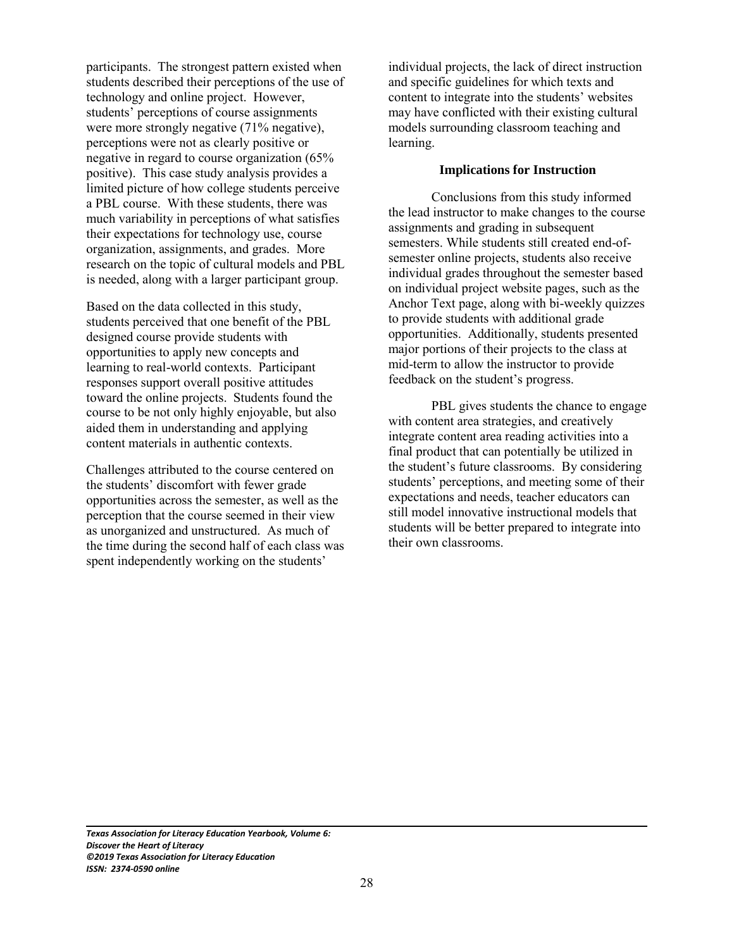participants. The strongest pattern existed when students described their perceptions of the use of technology and online project. However, students' perceptions of course assignments were more strongly negative (71% negative), perceptions were not as clearly positive or negative in regard to course organization (65% positive). This case study analysis provides a limited picture of how college students perceive a PBL course. With these students, there was much variability in perceptions of what satisfies their expectations for technology use, course organization, assignments, and grades. More research on the topic of cultural models and PBL is needed, along with a larger participant group.

Based on the data collected in this study, students perceived that one benefit of the PBL designed course provide students with opportunities to apply new concepts and learning to real-world contexts. Participant responses support overall positive attitudes toward the online projects. Students found the course to be not only highly enjoyable, but also aided them in understanding and applying content materials in authentic contexts.

Challenges attributed to the course centered on the students' discomfort with fewer grade opportunities across the semester, as well as the perception that the course seemed in their view as unorganized and unstructured. As much of the time during the second half of each class was spent independently working on the students'

individual projects, the lack of direct instruction and specific guidelines for which texts and content to integrate into the students' websites may have conflicted with their existing cultural models surrounding classroom teaching and learning.

## **Implications for Instruction**

Conclusions from this study informed the lead instructor to make changes to the course assignments and grading in subsequent semesters. While students still created end-ofsemester online projects, students also receive individual grades throughout the semester based on individual project website pages, such as the Anchor Text page, along with bi-weekly quizzes to provide students with additional grade opportunities. Additionally, students presented major portions of their projects to the class at mid-term to allow the instructor to provide feedback on the student's progress.

PBL gives students the chance to engage with content area strategies, and creatively integrate content area reading activities into a final product that can potentially be utilized in the student's future classrooms. By considering students' perceptions, and meeting some of their expectations and needs, teacher educators can still model innovative instructional models that students will be better prepared to integrate into their own classrooms.